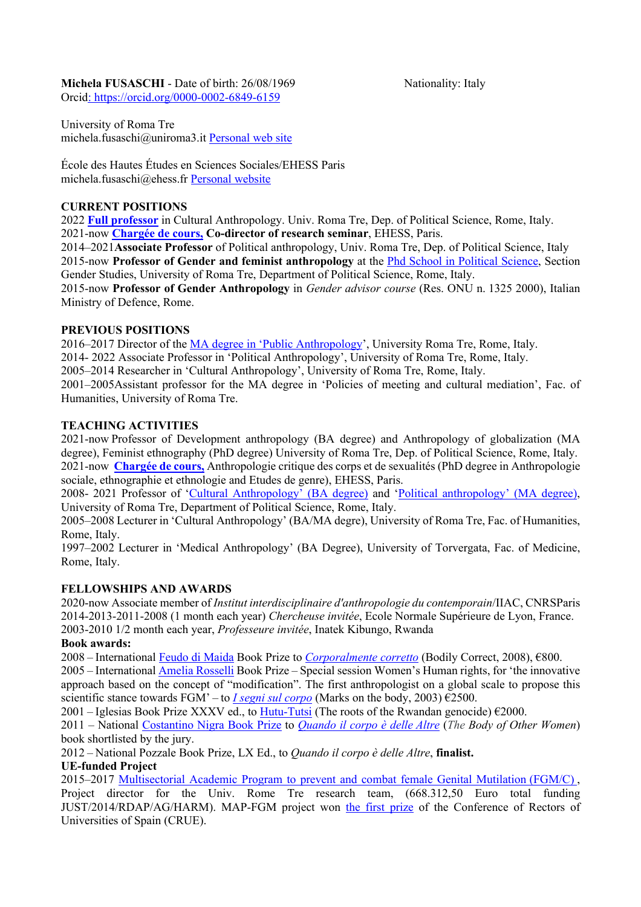# Michela FUSASCHI - Date of birth: 26/08/1969 Nationality: Italy

Orcid: https://orcid.org/0000-0002-6849-6159

University of Roma Tre michela.fusaschi@uniroma3.it Personal web site

École des Hautes Études en Sciences Sociales/EHESS Paris michela.fusaschi@ehess.fr Personal website

## **CURRENT POSITIONS**

2022 **Full professor** in Cultural Anthropology. Univ. Roma Tre, Dep. of Political Science, Rome, Italy. 2021-now **Chargée de cours, Co-director of research seminar**, EHESS, Paris.

2014–2021**Associate Professor** of Political anthropology, Univ. Roma Tre, Dep. of Political Science, Italy 2015-now **Professor of Gender and feminist anthropology** at the Phd School in Political Science, Section Gender Studies, University of Roma Tre, Department of Political Science, Rome, Italy. 2015-now **Professor of Gender Anthropology** in *Gender advisor course* (Res. ONU n. 1325 2000), Italian

Ministry of Defence, Rome.

## **PREVIOUS POSITIONS**

2016–2017 Director of the MA degree in 'Public Anthropology', University Roma Tre, Rome, Italy.

2014- 2022 Associate Professor in 'Political Anthropology', University of Roma Tre, Rome, Italy.

2005–2014 Researcher in 'Cultural Anthropology', University of Roma Tre, Rome, Italy.

2001–2005Assistant professor for the MA degree in 'Policies of meeting and cultural mediation', Fac. of Humanities, University of Roma Tre.

## **TEACHING ACTIVITIES**

2021-now Professor of Development anthropology (BA degree) and Anthropology of globalization (MA degree), Feminist ethnography (PhD degree) University of Roma Tre, Dep. of Political Science, Rome, Italy. 2021-now **Chargée de cours,** Anthropologie critique des corps et de sexualités (PhD degree in Anthropologie sociale, ethnographie et ethnologie and Etudes de genre), EHESS, Paris.

2008- 2021 Professor of 'Cultural Anthropology' (BA degree) and 'Political anthropology' (MA degree), University of Roma Tre, Department of Political Science, Rome, Italy.

2005–2008 Lecturer in 'Cultural Anthropology' (BA/MA degre), University of Roma Tre, Fac. of Humanities, Rome, Italy.

1997–2002 Lecturer in 'Medical Anthropology' (BA Degree), University of Torvergata, Fac. of Medicine, Rome, Italy.

## **FELLOWSHIPS AND AWARDS**

2020-now Associate member of *Institut interdisciplinaire d'anthropologie du contemporain*/IIAC, CNRSParis 2014-2013-2011-2008 (1 month each year) *Chercheuse invitée*, Ecole Normale Supérieure de Lyon, France. 2003-2010 1/2 month each year, *Professeure invitée*, Inatek Kibungo, Rwanda

## **Book awards:**

2008 – International Feudo di Maida Book Prize to *Corporalmente corretto* (Bodily Correct, 2008), €800.

2005 – International Amelia Rosselli Book Prize – Special session Women's Human rights, for 'the innovative approach based on the concept of "modification". The first anthropologist on a global scale to propose this scientific stance towards FGM' – to *I segni sul corpo* (Marks on the body, 2003)  $\epsilon$ 2500.

2001 – Iglesias Book Prize XXXV ed., to Hutu-Tutsi (The roots of the Rwandan genocide)  $\epsilon$ 2000.

2011 – National Costantino Nigra Book Prize to *Quando il corpo è delle Altre* (*The Body of Other Women*) book shortlisted by the jury.

2012 – National Pozzale Book Prize, LX Ed., to *Quando il corpo è delle Altre*, **finalist.**

## **UE-funded Project**

2015–2017 Multisectorial Academic Program to prevent and combat female Genital Mutilation (FGM/C) , Project director for the Univ. Rome Tre research team, (668.312,50 Euro total funding JUST/2014/RDAP/AG/HARM). MAP-FGM project won the first prize of the Conference of Rectors of Universities of Spain (CRUE).